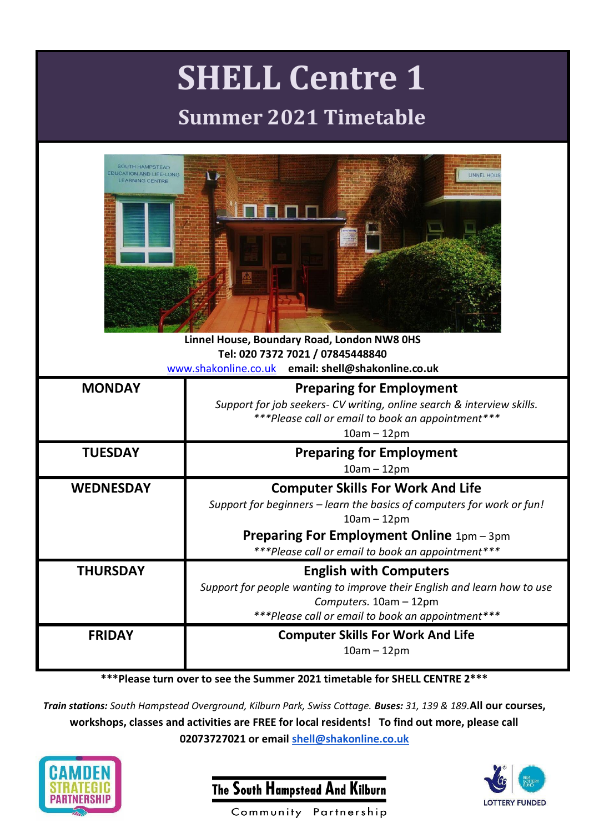| <b>SHELL Centre 1</b><br><b>Summer 2021 Timetable</b>                                                                                                                                                                                             |                                                                                                                                                                                                                                              |
|---------------------------------------------------------------------------------------------------------------------------------------------------------------------------------------------------------------------------------------------------|----------------------------------------------------------------------------------------------------------------------------------------------------------------------------------------------------------------------------------------------|
| <b>SOUTH HAMPSTEAD</b><br><b>EDUCATION AND LIFE-LONG</b><br><b>LINNEL HOUS</b><br><b>LEARNING CENTRE</b><br>Linnel House, Boundary Road, London NW8 0HS<br>Tel: 020 7372 7021 / 07845448840<br>www.shakonline.co.uk email: shell@shakonline.co.uk |                                                                                                                                                                                                                                              |
| <b>MONDAY</b>                                                                                                                                                                                                                                     | <b>Preparing for Employment</b><br>Support for job seekers- CV writing, online search & interview skills.<br>***Please call or email to book an appointment***<br>$10am - 12pm$                                                              |
| <b>TUESDAY</b>                                                                                                                                                                                                                                    | <b>Preparing for Employment</b><br>$10am - 12pm$                                                                                                                                                                                             |
| <b>WEDNESDAY</b>                                                                                                                                                                                                                                  | <b>Computer Skills For Work And Life</b><br>Support for beginners - learn the basics of computers for work or fun!<br>$10am - 12pm$<br><b>Preparing For Employment Online 1pm - 3pm</b><br>***Please call or email to book an appointment*** |
| <b>THURSDAY</b>                                                                                                                                                                                                                                   | <b>English with Computers</b><br>Support for people wanting to improve their English and learn how to use<br>Computers. 10am - 12pm<br>***Please call or email to book an appointment***                                                     |
| <b>FRIDAY</b>                                                                                                                                                                                                                                     | <b>Computer Skills For Work And Life</b><br>$10am - 12pm$                                                                                                                                                                                    |

## **\*\*\*Please turn over to see the Summer 2021 timetable for SHELL CENTRE 2\*\*\***

*Train stations: South Hampstead Overground, Kilburn Park, Swiss Cottage. Buses: 31, 139 & 189.***All our courses, workshops, classes and activities are FREE for local residents! To find out more, please call 02073727021 or email [shell@shakonline.co.uk](mailto:shell@shakonline.co.uk)**